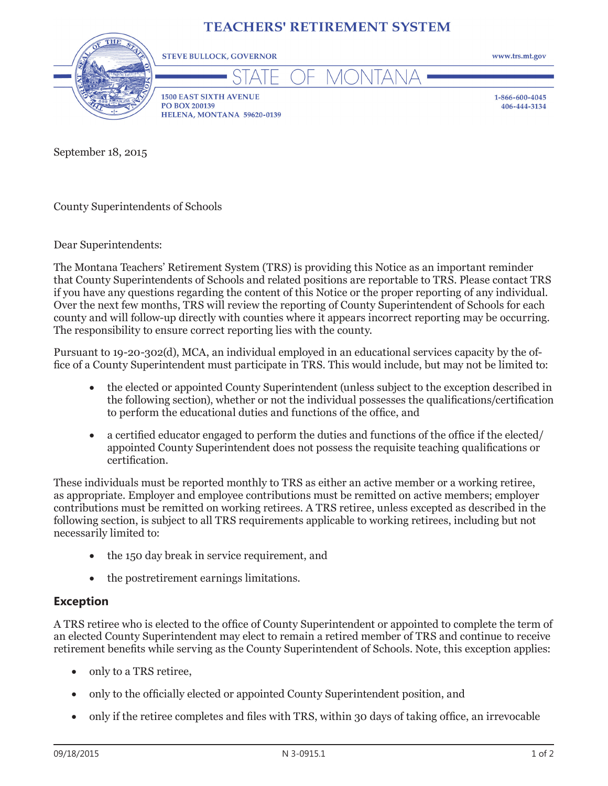## **TEACHERS' RETIREMENT SYSTEM**



**1500 EAST SIXTH AVENUE** PO BOX 200139 HELENA, MONTANA 59620-0139

**STEVE BULLOCK, GOVERNOR** 

1-866-600-4045 406-444-3134

www.trs.mt.gov

September 18, 2015

County Superintendents of Schools

Dear Superintendents:

The Montana Teachers' Retirement System (TRS) is providing this Notice as an important reminder that County Superintendents of Schools and related positions are reportable to TRS. Please contact TRS if you have any questions regarding the content of this Notice or the proper reporting of any individual. Over the next few months, TRS will review the reporting of County Superintendent of Schools for each county and will follow-up directly with counties where it appears incorrect reporting may be occurring. The responsibility to ensure correct reporting lies with the county.

Pursuant to 19-20-302(d), MCA, an individual employed in an educational services capacity by the office of a County Superintendent must participate in TRS. This would include, but may not be limited to:

- the elected or appointed County Superintendent (unless subject to the exception described in the following section), whether or not the individual possesses the qualifications/certification to perform the educational duties and functions of the office, and
- a certified educator engaged to perform the duties and functions of the office if the elected/ appointed County Superintendent does not possess the requisite teaching qualifications or certification.

These individuals must be reported monthly to TRS as either an active member or a working retiree, as appropriate. Employer and employee contributions must be remitted on active members; employer contributions must be remitted on working retirees. A TRS retiree, unless excepted as described in the following section, is subject to all TRS requirements applicable to working retirees, including but not necessarily limited to:

- the 150 day break in service requirement, and
- the postretirement earnings limitations.

## **Exception**

A TRS retiree who is elected to the office of County Superintendent or appointed to complete the term of an elected County Superintendent may elect to remain a retired member of TRS and continue to receive retirement benefits while serving as the County Superintendent of Schools. Note, this exception applies:

- only to a TRS retiree,
- only to the officially elected or appointed County Superintendent position, and
- only if the retiree completes and files with TRS, within 30 days of taking office, an irrevocable